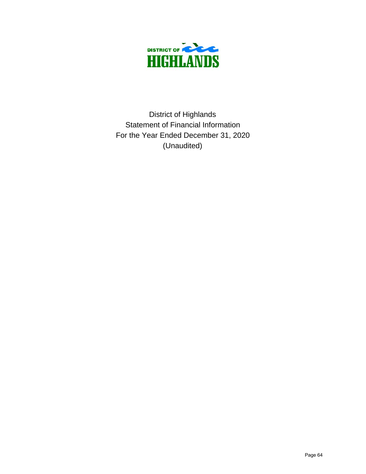

Statement of Financial Information For the Year Ended December 31, 2020 (Unaudited) District of Highlands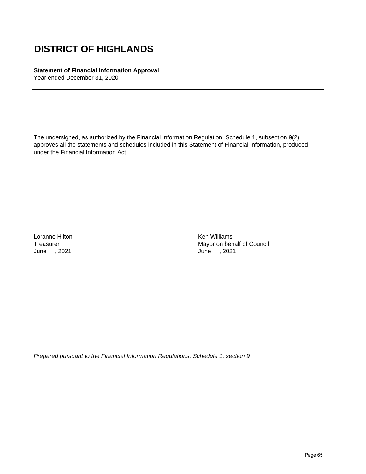### **Statement of Financial Information Approval**

Year ended December 31, 2020

The undersigned, as authorized by the Financial Information Regulation, Schedule 1, subsection 9(2) approves all the statements and schedules included in this Statement of Financial Information, produced under the Financial Information Act.

Loranne Hilton **Ken Williams** June \_\_, 2021 June \_\_, 2021

Treasurer Mayor on behalf of Council

*Prepared pursuant to the Financial Information Regulations, Schedule 1, section 9*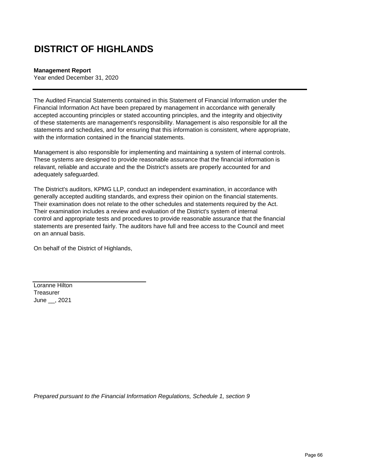#### **Management Report**

Year ended December 31, 2020

The Audited Financial Statements contained in this Statement of Financial Information under the Financial Information Act have been prepared by management in accordance with generally accepted accounting principles or stated accounting principles, and the integrity and objectivity of these statements are management's responsibility. Management is also responsible for all the statements and schedules, and for ensuring that this information is consistent, where appropriate, with the information contained in the financial statements.

Management is also responsible for implementing and maintaining a system of internal controls. These systems are designed to provide reasonable assurance that the financial information is relavant, reliable and accurate and the the District's assets are properly accounted for and adequately safeguarded.

The District's auditors, KPMG LLP, conduct an independent examination, in accordance with generally accepted auditing standards, and express their opinion on the financial statements. Their examination does not relate to the other schedules and statements required by the Act. Their examination includes a review and evaluation of the District's system of internal control and appropriate tests and procedures to provide reasonable assurance that the financial statements are presented fairly. The auditors have full and free access to the Council and meet on an annual basis.

On behalf of the District of Highlands,

Loranne Hilton **Treasurer** June \_\_, 2021

*Prepared pursuant to the Financial Information Regulations, Schedule 1, section 9*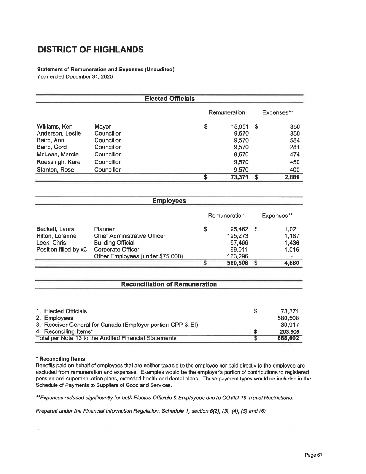#### Statement of Remuneration and Expenses (Unaudited)

Year ended December 31, 2020

|                                |                          | <b>Elected Officials</b> |                     |                |            |            |
|--------------------------------|--------------------------|--------------------------|---------------------|----------------|------------|------------|
|                                |                          |                          | <b>Remuneration</b> |                | Expenses** |            |
| Williams, Ken                  | Mayor                    |                          | \$                  | 15,951         | S          | 350        |
| Anderson, Leslie<br>Baird, Ann | Councillor<br>Councillor |                          |                     | 9,570<br>9,570 |            | 350<br>584 |
| Baird, Gord                    | Councillor               |                          |                     | 9,570          |            | 281        |
| McLean, Marcie                 | Councillor               |                          |                     | 9,570          |            | 474        |
| Roessingh, Karel               | Councillor               |                          |                     | 9,570          |            | 450        |
| Stanton, Rose                  | Councillor               |                          |                     | 9,570          |            | 400        |
|                                |                          |                          | ς                   | 73,371         | \$         | 2,889      |

|                                                            | <b>Employees</b>                      |    |              |    |            |
|------------------------------------------------------------|---------------------------------------|----|--------------|----|------------|
|                                                            |                                       |    | Remuneration |    | Expenses** |
| Beckett, Laura                                             | Planner                               | \$ | 95,462       | -5 | 1,021      |
| Hilton, Loranne                                            | <b>Chief Administrative Officer</b>   |    | 125,273      |    | 1,187      |
| Leek, Chris                                                | <b>Building Official</b>              |    | 97,466       |    | 1,436      |
| Position filled by x3                                      | <b>Corporate Officer</b>              |    | 99,011       |    | 1,016      |
|                                                            | Other Employees (under \$75,000)      |    | 163,296      |    |            |
|                                                            |                                       | S  | 580,508      | S  | 4,660      |
|                                                            | <b>Reconciliation of Remuneration</b> |    |              |    |            |
|                                                            |                                       |    |              |    |            |
| 1. Elected Officials                                       |                                       |    |              | \$ | 73,371     |
| 2.<br><b>Employees</b>                                     |                                       |    |              |    | 580,508    |
| 3. Receiver General for Canada (Employer portion CPP & EI) |                                       |    |              |    | 30,917     |
| 4. Reconciling Items*                                      |                                       |    |              | \$ | 203,806    |
| Total per Note 13 to the Audited Financial Statements      |                                       |    |              |    | 888,602    |

#### \* Reconciling Items:

Benefits paid on behalf of employees that are neither taxable to the employee nor paid directly to the employee are excluded from remuneration and expenses. Examples would be the employer's portion of contributions to registered pension and superannuation plans, extended health and dental plans. These payment types would be included in the Schedule of Payments to Suppliers of Good and Services.

\*\*Expenses reduced significantly for both Elected Officials & Employees due to COVID-19 Travel Restrictions.

Prepared under the Financial Information Regulation, Schedule 1, section 6(2), (3), (4), (5) and (6)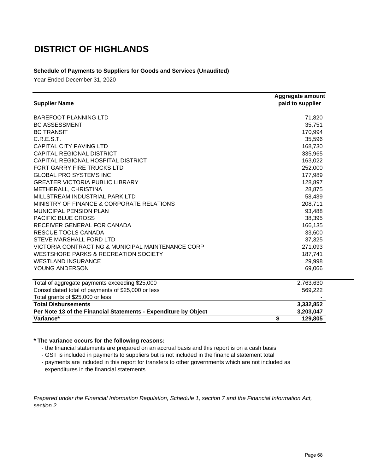### **Schedule of Payments to Suppliers for Goods and Services (Unaudited)**

Year Ended December 31, 2020

| <b>Supplier Name</b>                                            | Aggregate amount<br>paid to supplier |  |  |
|-----------------------------------------------------------------|--------------------------------------|--|--|
|                                                                 |                                      |  |  |
| <b>BAREFOOT PLANNING LTD</b>                                    | 71,820                               |  |  |
| <b>BC ASSESSMENT</b>                                            | 35,751                               |  |  |
| <b>BC TRANSIT</b>                                               | 170,994                              |  |  |
| C.R.E.S.T.                                                      | 35,596                               |  |  |
| <b>CAPITAL CITY PAVING LTD</b>                                  | 168,730                              |  |  |
| CAPITAL REGIONAL DISTRICT                                       | 335,965                              |  |  |
| CAPITAL REGIONAL HOSPITAL DISTRICT                              | 163,022                              |  |  |
| FORT GARRY FIRE TRUCKS LTD                                      | 252,000                              |  |  |
| <b>GLOBAL PRO SYSTEMS INC</b>                                   | 177,989                              |  |  |
| <b>GREATER VICTORIA PUBLIC LIBRARY</b>                          | 128,897                              |  |  |
| METHERALL, CHRISTINA                                            | 28,875                               |  |  |
| MILLSTREAM INDUSTRIAL PARK LTD                                  | 58,439                               |  |  |
| MINISTRY OF FINANCE & CORPORATE RELATIONS                       | 208,711                              |  |  |
| <b>MUNICIPAL PENSION PLAN</b>                                   | 93,488                               |  |  |
| <b>PACIFIC BLUE CROSS</b>                                       | 38,395                               |  |  |
| RECEIVER GENERAL FOR CANADA                                     | 166,135                              |  |  |
| RESCUE TOOLS CANADA                                             | 33,600                               |  |  |
| STEVE MARSHALL FORD LTD                                         | 37,325                               |  |  |
| VICTORIA CONTRACTING & MUNICIPAL MAINTENANCE CORP               | 271,093                              |  |  |
| <b>WESTSHORE PARKS &amp; RECREATION SOCIETY</b>                 | 187,741                              |  |  |
| <b>WESTLAND INSURANCE</b>                                       | 29,998                               |  |  |
| YOUNG ANDERSON                                                  | 69,066                               |  |  |
| Total of aggregate payments exceeding \$25,000                  | 2,763,630                            |  |  |
| Consolidated total of payments of \$25,000 or less              | 569,222                              |  |  |
| Total grants of \$25,000 or less                                |                                      |  |  |
| <b>Total Disbursements</b>                                      | 3,332,852                            |  |  |
| Per Note 13 of the Financial Statements - Expenditure by Object | 3,203,047                            |  |  |
| Variance*                                                       | \$<br>129,805                        |  |  |

#### **\* The variance occurs for the following reasons:**

- the financial statements are prepared on an accrual basis and this report is on a cash basis

- GST is included in payments to suppliers but is not included in the financial statement total

 - payments are included in this report for transfers to other governments which are not included as expenditures in the financial statements

*Prepared under the Financial Information Regulation, Schedule 1, section 7 and the Financial Information Act, section 2*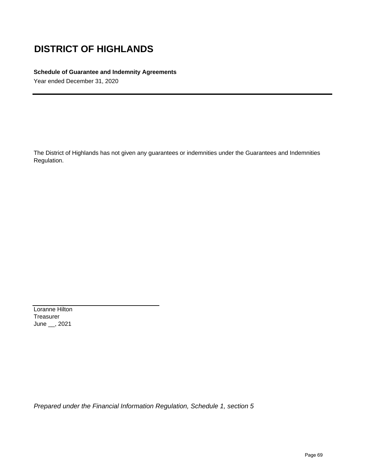#### **Schedule of Guarantee and Indemnity Agreements**

Year ended December 31, 2020

The District of Highlands has not given any guarantees or indemnities under the Guarantees and Indemnities Regulation.

Loranne Hilton Treasurer June \_\_, 2021

*Prepared under the Financial Information Regulation, Schedule 1, section 5*